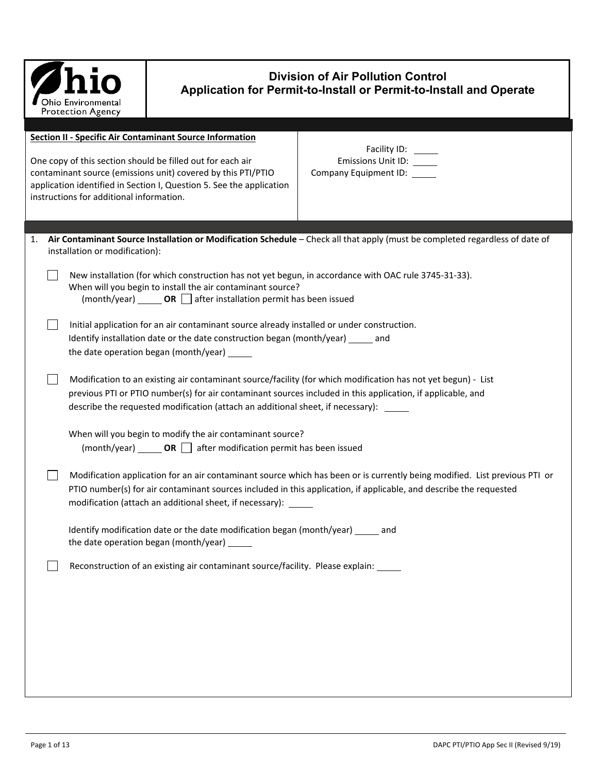| Ohio Environmental<br><b>Protection Agency</b> |
|------------------------------------------------|

## **Division of Air Pollution Control Application for Permit-to-Install or Permit-to-Install and Operate**

|    | <b>Section II - Specific Air Contaminant Source Information</b>                                                                                                                                                                                                                                                       |                                                                                                                              |  |  |  |  |
|----|-----------------------------------------------------------------------------------------------------------------------------------------------------------------------------------------------------------------------------------------------------------------------------------------------------------------------|------------------------------------------------------------------------------------------------------------------------------|--|--|--|--|
|    | One copy of this section should be filled out for each air<br>contaminant source (emissions unit) covered by this PTI/PTIO<br>application identified in Section I, Question 5. See the application<br>instructions for additional information.                                                                        | Facility ID: _____<br>Emissions Unit ID: _____<br>Company Equipment ID: _____                                                |  |  |  |  |
|    |                                                                                                                                                                                                                                                                                                                       |                                                                                                                              |  |  |  |  |
| 1. | installation or modification):                                                                                                                                                                                                                                                                                        | Air Contaminant Source Installation or Modification Schedule - Check all that apply (must be completed regardless of date of |  |  |  |  |
|    | New installation (for which construction has not yet begun, in accordance with OAC rule 3745-31-33).<br>When will you begin to install the air contaminant source?<br>$(month/year)$ OR $\Box$ after installation permit has been issued                                                                              |                                                                                                                              |  |  |  |  |
|    | Initial application for an air contaminant source already installed or under construction.<br>Identify installation date or the date construction began (month/year) _____ and<br>the date operation began (month/year) ______                                                                                        |                                                                                                                              |  |  |  |  |
|    | Modification to an existing air contaminant source/facility (for which modification has not yet begun) - List<br>previous PTI or PTIO number(s) for air contaminant sources included in this application, if applicable, and<br>describe the requested modification (attach an additional sheet, if necessary): _____ |                                                                                                                              |  |  |  |  |
|    | When will you begin to modify the air contaminant source?<br>$(month/year)$ OR $\Box$ after modification permit has been issued                                                                                                                                                                                       |                                                                                                                              |  |  |  |  |
|    | PTIO number(s) for air contaminant sources included in this application, if applicable, and describe the requested<br>modification (attach an additional sheet, if necessary):                                                                                                                                        | Modification application for an air contaminant source which has been or is currently being modified. List previous PTI or   |  |  |  |  |
|    | Identify modification date or the date modification began (month/year) _____ and<br>the date operation began (month/year) ______                                                                                                                                                                                      |                                                                                                                              |  |  |  |  |
|    | Reconstruction of an existing air contaminant source/facility. Please explain: _____                                                                                                                                                                                                                                  |                                                                                                                              |  |  |  |  |
|    |                                                                                                                                                                                                                                                                                                                       |                                                                                                                              |  |  |  |  |
|    |                                                                                                                                                                                                                                                                                                                       |                                                                                                                              |  |  |  |  |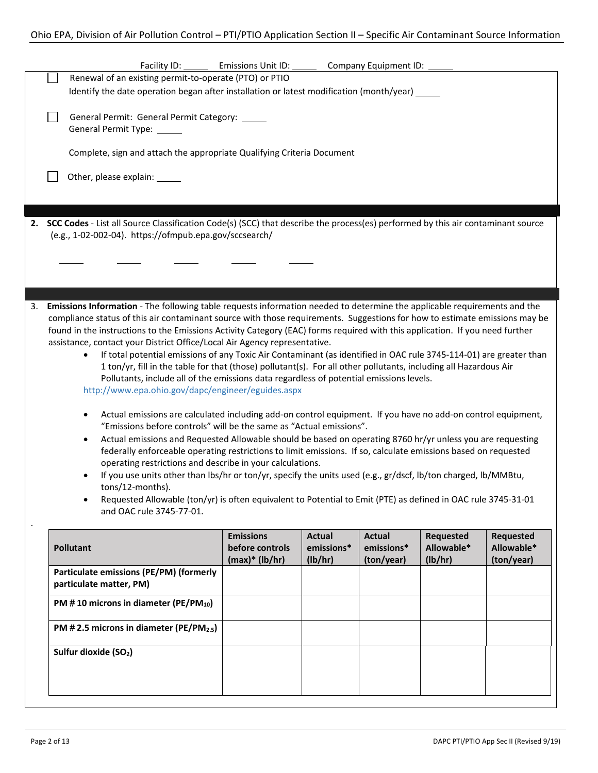|    | Facility ID:                                                                                                                                                                                                                                                                                                                                                                                                                                                                                                                                                                                                                                                                                                                                                                                                                                                                                                                                                                                                                                                                                                                                                                                                                                                                                                                                                                                                                                                                                                                                                                                                                                            | Emissions Unit ID:                  |                             | Company Equipment ID:       |                                |                                |
|----|---------------------------------------------------------------------------------------------------------------------------------------------------------------------------------------------------------------------------------------------------------------------------------------------------------------------------------------------------------------------------------------------------------------------------------------------------------------------------------------------------------------------------------------------------------------------------------------------------------------------------------------------------------------------------------------------------------------------------------------------------------------------------------------------------------------------------------------------------------------------------------------------------------------------------------------------------------------------------------------------------------------------------------------------------------------------------------------------------------------------------------------------------------------------------------------------------------------------------------------------------------------------------------------------------------------------------------------------------------------------------------------------------------------------------------------------------------------------------------------------------------------------------------------------------------------------------------------------------------------------------------------------------------|-------------------------------------|-----------------------------|-----------------------------|--------------------------------|--------------------------------|
|    | Renewal of an existing permit-to-operate (PTO) or PTIO<br>Identify the date operation began after installation or latest modification (month/year) $\angle$                                                                                                                                                                                                                                                                                                                                                                                                                                                                                                                                                                                                                                                                                                                                                                                                                                                                                                                                                                                                                                                                                                                                                                                                                                                                                                                                                                                                                                                                                             |                                     |                             |                             |                                |                                |
|    |                                                                                                                                                                                                                                                                                                                                                                                                                                                                                                                                                                                                                                                                                                                                                                                                                                                                                                                                                                                                                                                                                                                                                                                                                                                                                                                                                                                                                                                                                                                                                                                                                                                         |                                     |                             |                             |                                |                                |
|    | General Permit: General Permit Category: _____                                                                                                                                                                                                                                                                                                                                                                                                                                                                                                                                                                                                                                                                                                                                                                                                                                                                                                                                                                                                                                                                                                                                                                                                                                                                                                                                                                                                                                                                                                                                                                                                          |                                     |                             |                             |                                |                                |
|    | General Permit Type: _____                                                                                                                                                                                                                                                                                                                                                                                                                                                                                                                                                                                                                                                                                                                                                                                                                                                                                                                                                                                                                                                                                                                                                                                                                                                                                                                                                                                                                                                                                                                                                                                                                              |                                     |                             |                             |                                |                                |
|    | Complete, sign and attach the appropriate Qualifying Criteria Document                                                                                                                                                                                                                                                                                                                                                                                                                                                                                                                                                                                                                                                                                                                                                                                                                                                                                                                                                                                                                                                                                                                                                                                                                                                                                                                                                                                                                                                                                                                                                                                  |                                     |                             |                             |                                |                                |
|    | Other, please explain: ______                                                                                                                                                                                                                                                                                                                                                                                                                                                                                                                                                                                                                                                                                                                                                                                                                                                                                                                                                                                                                                                                                                                                                                                                                                                                                                                                                                                                                                                                                                                                                                                                                           |                                     |                             |                             |                                |                                |
|    |                                                                                                                                                                                                                                                                                                                                                                                                                                                                                                                                                                                                                                                                                                                                                                                                                                                                                                                                                                                                                                                                                                                                                                                                                                                                                                                                                                                                                                                                                                                                                                                                                                                         |                                     |                             |                             |                                |                                |
|    | 2. SCC Codes - List all Source Classification Code(s) (SCC) that describe the process(es) performed by this air contaminant source                                                                                                                                                                                                                                                                                                                                                                                                                                                                                                                                                                                                                                                                                                                                                                                                                                                                                                                                                                                                                                                                                                                                                                                                                                                                                                                                                                                                                                                                                                                      |                                     |                             |                             |                                |                                |
|    | (e.g., 1-02-002-04). https://ofmpub.epa.gov/sccsearch/                                                                                                                                                                                                                                                                                                                                                                                                                                                                                                                                                                                                                                                                                                                                                                                                                                                                                                                                                                                                                                                                                                                                                                                                                                                                                                                                                                                                                                                                                                                                                                                                  |                                     |                             |                             |                                |                                |
|    |                                                                                                                                                                                                                                                                                                                                                                                                                                                                                                                                                                                                                                                                                                                                                                                                                                                                                                                                                                                                                                                                                                                                                                                                                                                                                                                                                                                                                                                                                                                                                                                                                                                         |                                     |                             |                             |                                |                                |
|    |                                                                                                                                                                                                                                                                                                                                                                                                                                                                                                                                                                                                                                                                                                                                                                                                                                                                                                                                                                                                                                                                                                                                                                                                                                                                                                                                                                                                                                                                                                                                                                                                                                                         |                                     |                             |                             |                                |                                |
|    |                                                                                                                                                                                                                                                                                                                                                                                                                                                                                                                                                                                                                                                                                                                                                                                                                                                                                                                                                                                                                                                                                                                                                                                                                                                                                                                                                                                                                                                                                                                                                                                                                                                         |                                     |                             |                             |                                |                                |
| 3. | Emissions Information - The following table requests information needed to determine the applicable requirements and the<br>compliance status of this air contaminant source with those requirements. Suggestions for how to estimate emissions may be<br>found in the instructions to the Emissions Activity Category (EAC) forms required with this application. If you need further<br>assistance, contact your District Office/Local Air Agency representative.<br>If total potential emissions of any Toxic Air Contaminant (as identified in OAC rule 3745-114-01) are greater than<br>$\bullet$<br>1 ton/yr, fill in the table for that (those) pollutant(s). For all other pollutants, including all Hazardous Air<br>Pollutants, include all of the emissions data regardless of potential emissions levels.<br>http://www.epa.ohio.gov/dapc/engineer/eguides.aspx<br>Actual emissions are calculated including add-on control equipment. If you have no add-on control equipment,<br>"Emissions before controls" will be the same as "Actual emissions".<br>Actual emissions and Requested Allowable should be based on operating 8760 hr/yr unless you are requesting<br>٠<br>federally enforceable operating restrictions to limit emissions. If so, calculate emissions based on requested<br>operating restrictions and describe in your calculations.<br>If you use units other than lbs/hr or ton/yr, specify the units used (e.g., gr/dscf, lb/ton charged, lb/MMBtu,<br>tons/12-months).<br>Requested Allowable (ton/yr) is often equivalent to Potential to Emit (PTE) as defined in OAC rule 3745-31-01<br>and OAC rule 3745-77-01. |                                     |                             |                             |                                |                                |
|    | <b>Pollutant</b>                                                                                                                                                                                                                                                                                                                                                                                                                                                                                                                                                                                                                                                                                                                                                                                                                                                                                                                                                                                                                                                                                                                                                                                                                                                                                                                                                                                                                                                                                                                                                                                                                                        | <b>Emissions</b><br>before controls | <b>Actual</b><br>emissions* | <b>Actual</b><br>emissions* | <b>Requested</b><br>Allowable* | <b>Requested</b><br>Allowable* |
|    | Particulate emissions (PE/PM) (formerly                                                                                                                                                                                                                                                                                                                                                                                                                                                                                                                                                                                                                                                                                                                                                                                                                                                                                                                                                                                                                                                                                                                                                                                                                                                                                                                                                                                                                                                                                                                                                                                                                 | $(max)*$ (lb/hr)                    | (lb/hr)                     | (ton/year)                  | (lb/hr)                        | (ton/year)                     |
|    | particulate matter, PM)                                                                                                                                                                                                                                                                                                                                                                                                                                                                                                                                                                                                                                                                                                                                                                                                                                                                                                                                                                                                                                                                                                                                                                                                                                                                                                                                                                                                                                                                                                                                                                                                                                 |                                     |                             |                             |                                |                                |
|    | PM #10 microns in diameter (PE/PM <sub>10</sub> )                                                                                                                                                                                                                                                                                                                                                                                                                                                                                                                                                                                                                                                                                                                                                                                                                                                                                                                                                                                                                                                                                                                                                                                                                                                                                                                                                                                                                                                                                                                                                                                                       |                                     |                             |                             |                                |                                |
|    | PM # 2.5 microns in diameter (PE/PM2.5)                                                                                                                                                                                                                                                                                                                                                                                                                                                                                                                                                                                                                                                                                                                                                                                                                                                                                                                                                                                                                                                                                                                                                                                                                                                                                                                                                                                                                                                                                                                                                                                                                 |                                     |                             |                             |                                |                                |
|    | Sulfur dioxide (SO <sub>2</sub> )                                                                                                                                                                                                                                                                                                                                                                                                                                                                                                                                                                                                                                                                                                                                                                                                                                                                                                                                                                                                                                                                                                                                                                                                                                                                                                                                                                                                                                                                                                                                                                                                                       |                                     |                             |                             |                                |                                |
|    |                                                                                                                                                                                                                                                                                                                                                                                                                                                                                                                                                                                                                                                                                                                                                                                                                                                                                                                                                                                                                                                                                                                                                                                                                                                                                                                                                                                                                                                                                                                                                                                                                                                         |                                     |                             |                             |                                |                                |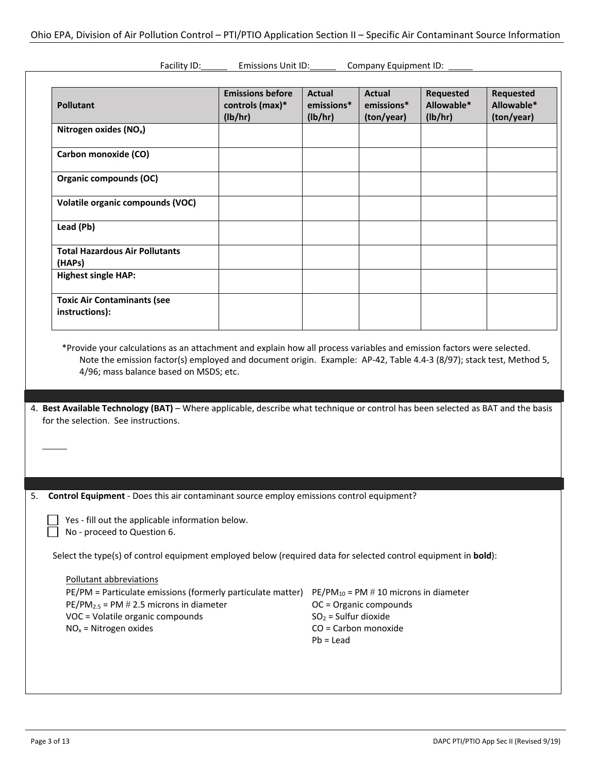| <b>Pollutant</b>                                                                                                                                                                                                                                                                                                                                                                                      | <b>Emissions before</b><br>controls (max)*<br>(lb/hr)                                                                                                                                                                                        | <b>Actual</b><br>emissions*<br>(lb/hr) | <b>Actual</b><br>emissions*<br>(ton/year) | <b>Requested</b><br>Allowable*<br>(lb/hr) | <b>Requested</b><br>Allowable*<br>(ton/year) |
|-------------------------------------------------------------------------------------------------------------------------------------------------------------------------------------------------------------------------------------------------------------------------------------------------------------------------------------------------------------------------------------------------------|----------------------------------------------------------------------------------------------------------------------------------------------------------------------------------------------------------------------------------------------|----------------------------------------|-------------------------------------------|-------------------------------------------|----------------------------------------------|
| Nitrogen oxides (NO <sub>x</sub> )                                                                                                                                                                                                                                                                                                                                                                    |                                                                                                                                                                                                                                              |                                        |                                           |                                           |                                              |
| Carbon monoxide (CO)                                                                                                                                                                                                                                                                                                                                                                                  |                                                                                                                                                                                                                                              |                                        |                                           |                                           |                                              |
| Organic compounds (OC)                                                                                                                                                                                                                                                                                                                                                                                |                                                                                                                                                                                                                                              |                                        |                                           |                                           |                                              |
| Volatile organic compounds (VOC)                                                                                                                                                                                                                                                                                                                                                                      |                                                                                                                                                                                                                                              |                                        |                                           |                                           |                                              |
| Lead (Pb)                                                                                                                                                                                                                                                                                                                                                                                             |                                                                                                                                                                                                                                              |                                        |                                           |                                           |                                              |
| <b>Total Hazardous Air Pollutants</b><br>(HAPs)                                                                                                                                                                                                                                                                                                                                                       |                                                                                                                                                                                                                                              |                                        |                                           |                                           |                                              |
| <b>Highest single HAP:</b>                                                                                                                                                                                                                                                                                                                                                                            |                                                                                                                                                                                                                                              |                                        |                                           |                                           |                                              |
| <b>Toxic Air Contaminants (see</b><br>instructions):                                                                                                                                                                                                                                                                                                                                                  |                                                                                                                                                                                                                                              |                                        |                                           |                                           |                                              |
| 4/96; mass balance based on MSDS; etc.                                                                                                                                                                                                                                                                                                                                                                | *Provide your calculations as an attachment and explain how all process variables and emission factors were selected.<br>Note the emission factor(s) employed and document origin. Example: AP-42, Table 4.4-3 (8/97); stack test, Method 5, |                                        |                                           |                                           |                                              |
|                                                                                                                                                                                                                                                                                                                                                                                                       |                                                                                                                                                                                                                                              |                                        |                                           |                                           |                                              |
|                                                                                                                                                                                                                                                                                                                                                                                                       |                                                                                                                                                                                                                                              |                                        |                                           |                                           |                                              |
| Yes - fill out the applicable information below.<br>No - proceed to Question 6.                                                                                                                                                                                                                                                                                                                       |                                                                                                                                                                                                                                              |                                        |                                           |                                           |                                              |
| 4. Best Available Technology (BAT) - Where applicable, describe what technique or control has been selected as BAT and the basis<br>for the selection. See instructions.<br><b>Control Equipment</b> - Does this air contaminant source employ emissions control equipment?<br>Select the type(s) of control equipment employed below (required data for selected control equipment in <b>bold</b> ): |                                                                                                                                                                                                                                              |                                        |                                           |                                           |                                              |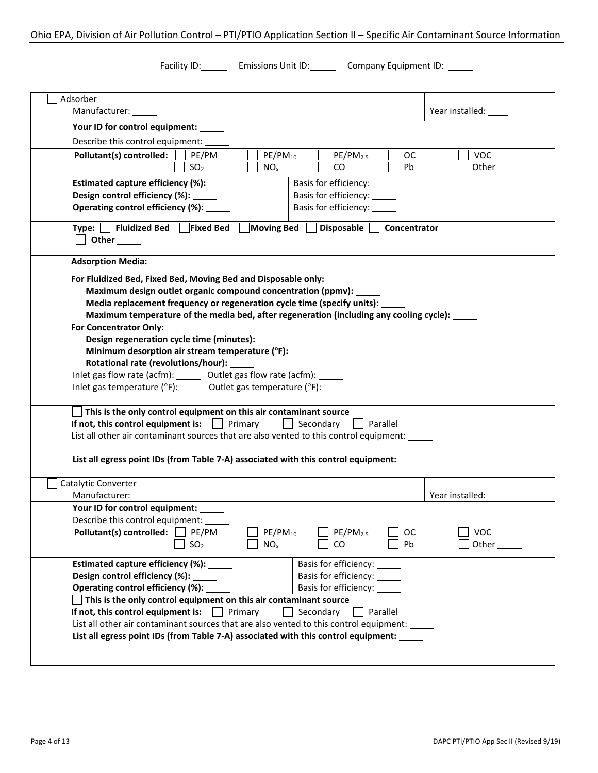Ohio EPA, Division of Air Pollution Control – PTI/PTIO Application Section II – Specific Air Contaminant Source Information

Facility ID: Emissions Unit ID: Company Equipment ID: \_\_\_\_

| Manufacturer: _____                                                                     |                                                               | Year installed: ____     |
|-----------------------------------------------------------------------------------------|---------------------------------------------------------------|--------------------------|
| Your ID for control equipment: _____                                                    |                                                               |                          |
|                                                                                         |                                                               |                          |
| Describe this control equipment:                                                        |                                                               |                          |
| Pollutant(s) controlled: PE/PM<br>SO <sub>2</sub><br>$NO_{x}$                           | $PE/PM_{10}$<br>PE/PM <sub>2.5</sub><br><b>OC</b><br>CO<br>Pb | <b>VOC</b><br>Other $\_$ |
| Estimated capture efficiency (%): _____                                                 | Basis for efficiency:                                         |                          |
| Design control efficiency (%): _____                                                    | Basis for efficiency: ______                                  |                          |
| Operating control efficiency (%): _____                                                 | Basis for efficiency: ______                                  |                          |
| Type:     Fluidized Bed       Fixed Bed<br>Other ______                                 | Moving Bed $\Box$ Disposable $\Box$<br>Concentrator           |                          |
| <b>Adsorption Media:</b>                                                                |                                                               |                          |
| For Fluidized Bed, Fixed Bed, Moving Bed and Disposable only:                           |                                                               |                          |
| Maximum design outlet organic compound concentration (ppmv):                            |                                                               |                          |
| Media replacement frequency or regeneration cycle time (specify units):                 |                                                               |                          |
| Maximum temperature of the media bed, after regeneration (including any cooling cycle): |                                                               |                          |
| For Concentrator Only:                                                                  |                                                               |                          |
| Design regeneration cycle time (minutes):                                               |                                                               |                          |
| Minimum desorption air stream temperature (°F): _____                                   |                                                               |                          |
| Rotational rate (revolutions/hour):                                                     |                                                               |                          |
| Inlet gas flow rate (acfm): ______ Outlet gas flow rate (acfm): _____                   |                                                               |                          |
| Inlet gas temperature (°F): ______ Outlet gas temperature (°F): _____                   |                                                               |                          |
| This is the only control equipment on this air contaminant source                       |                                                               |                          |
| If not, this control equipment is: $\Box$ Primary                                       | Secondary<br>Parallel                                         |                          |
| List all other air contaminant sources that are also vented to this control equipment:  |                                                               |                          |
|                                                                                         |                                                               |                          |
| List all egress point IDs (from Table 7-A) associated with this control equipment:      |                                                               |                          |
|                                                                                         |                                                               |                          |
| Catalytic Converter                                                                     |                                                               |                          |
| Manufacturer:                                                                           |                                                               | Year installed:          |
| Your ID for control equipment:<br>Describe this control equipment:                      |                                                               |                          |
| Pollutant(s) controlled:<br>PE/PM                                                       | $PE/PM_{10}$<br>$PE/PM_{2.5}$<br>OС                           | <b>VOC</b>               |
| SO <sub>2</sub><br>NO <sub>x</sub>                                                      | CO.<br>Pb                                                     | Other                    |
|                                                                                         |                                                               |                          |
| Estimated capture efficiency (%):                                                       | Basis for efficiency:                                         |                          |
| Design control efficiency (%):                                                          | Basis for efficiency:                                         |                          |
| Operating control efficiency (%):                                                       | Basis for efficiency:                                         |                          |
| This is the only control equipment on this air contaminant source                       |                                                               |                          |
| If not, this control equipment is:<br>Primary                                           | Secondary<br>Parallel                                         |                          |
| List all other air contaminant sources that are also vented to this control equipment:  |                                                               |                          |
|                                                                                         |                                                               |                          |
| List all egress point IDs (from Table 7-A) associated with this control equipment:      |                                                               |                          |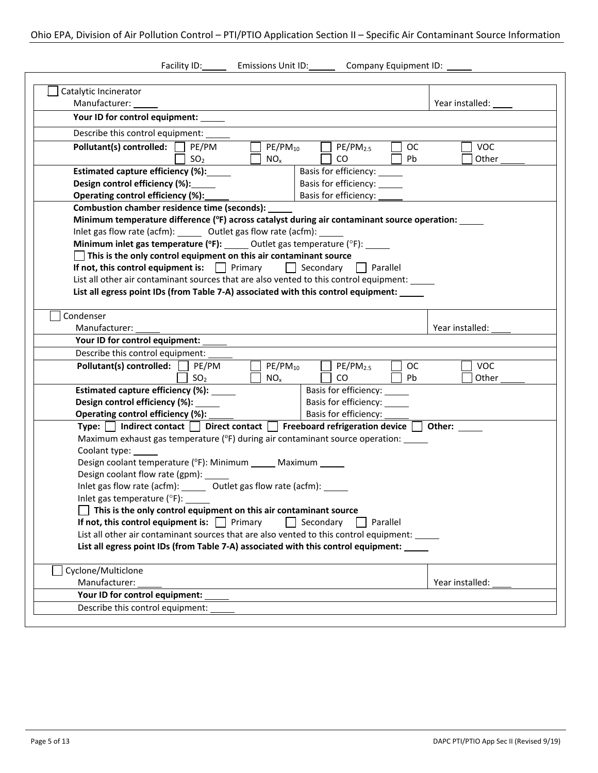| Facility ID: Emissions Unit ID:                                                                         | Company Equipment ID: \INCOMPANY_COMPANY |
|---------------------------------------------------------------------------------------------------------|------------------------------------------|
|                                                                                                         |                                          |
| Catalytic Incinerator                                                                                   |                                          |
| Manufacturer:                                                                                           | Year installed:                          |
| Your ID for control equipment:                                                                          |                                          |
| Describe this control equipment:                                                                        |                                          |
| Pollutant(s) controlled: PE/PM<br>$PE/PM_{10}$<br><b>OC</b><br>$PE/PM_{2.5}$                            | VOC                                      |
| SO <sub>2</sub><br>CO<br>$NO_{x}$<br><b>Pb</b>                                                          | Other                                    |
| Estimated capture efficiency (%):<br>Basis for efficiency:<br>Design control efficiency (%):            |                                          |
| Basis for efficiency:<br>Operating control efficiency (%):<br>Basis for efficiency:                     |                                          |
| <b>Combustion chamber residence time (seconds):</b>                                                     |                                          |
| Minimum temperature difference (°F) across catalyst during air contaminant source operation: ____       |                                          |
| Inlet gas flow rate (acfm): ______ Outlet gas flow rate (acfm): ___                                     |                                          |
| Minimum inlet gas temperature ( $\text{°F}$ ): _____ Outlet gas temperature ( $\text{°F}$ ): _____      |                                          |
| This is the only control equipment on this air contaminant source                                       |                                          |
| If not, this control equipment is: $\ \cdot\ $ Primary<br>  Secondary<br>    Parallel                   |                                          |
| List all other air contaminant sources that are also vented to this control equipment:                  |                                          |
| List all egress point IDs (from Table 7-A) associated with this control equipment: ____                 |                                          |
| Condenser                                                                                               |                                          |
| Manufacturer:                                                                                           | Year installed:                          |
| Your ID for control equipment: _____                                                                    |                                          |
| Describe this control equipment:                                                                        |                                          |
| Pollutant(s) controlled: PE/PM<br>$PE/PM_{10}$<br>$PE/PM_{2.5}$<br><b>OC</b>                            | <b>VOC</b>                               |
| SO <sub>2</sub><br>CO.<br><b>Pb</b><br>$NO_{x}$                                                         | Other                                    |
| Estimated capture efficiency (%): _____<br>Basis for efficiency:                                        |                                          |
| Design control efficiency (%):<br>Basis for efficiency:                                                 |                                          |
| Operating control efficiency (%):<br>Basis for efficiency: ______                                       |                                          |
| Type: $\Box$ Indirect contact $\Box$ Direct contact $\Box$ Freeboard refrigeration device $\Box$ Other: |                                          |
| Maximum exhaust gas temperature (°F) during air contaminant source operation: _____                     |                                          |
| Coolant type: _____<br>Design coolant temperature (°F): Minimum _____ Maximum ____                      |                                          |
| Design coolant flow rate (gpm): ____                                                                    |                                          |
| Inlet gas flow rate (acfm): ______ Outlet gas flow rate (acfm): _____                                   |                                          |
| Inlet gas temperature ( $\degree$ F): _____                                                             |                                          |
| This is the only control equipment on this air contaminant source                                       |                                          |
| If not, this control equipment is: $\Box$ Primary<br>Secondary<br>Parallel                              |                                          |
| List all other air contaminant sources that are also vented to this control equipment:                  |                                          |
| List all egress point IDs (from Table 7-A) associated with this control equipment:                      |                                          |
| Cyclone/Multiclone                                                                                      |                                          |
| Manufacturer:                                                                                           | Year installed:                          |
| Your ID for control equipment:                                                                          |                                          |
| Describe this control equipment:                                                                        |                                          |
|                                                                                                         |                                          |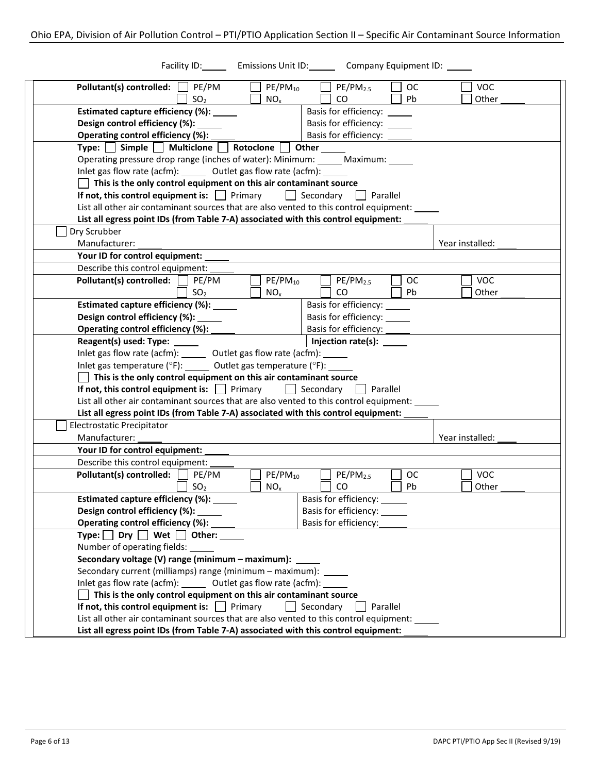| Facility ID: Emissions Unit ID: Company Equipment ID: ____                                                                                                                           |                 |
|--------------------------------------------------------------------------------------------------------------------------------------------------------------------------------------|-----------------|
| $PE/PM_{10}$<br>Pollutant(s) controlled:<br>PE/PM<br>PE/PM <sub>2.5</sub><br><b>OC</b>                                                                                               | <b>VOC</b>      |
| SO <sub>2</sub><br>$\rm CO$<br>NO <sub>x</sub><br><b>Pb</b>                                                                                                                          | Other           |
| Estimated capture efficiency (%):<br>Basis for efficiency:                                                                                                                           |                 |
| Design control efficiency (%): _____<br>Basis for efficiency: ______                                                                                                                 |                 |
| Operating control efficiency (%):<br>Basis for efficiency:                                                                                                                           |                 |
| Type: $\Box$ Simple $\Box$ Multiclone $\Box$ Rotoclone $\Box$<br>Other                                                                                                               |                 |
| Operating pressure drop range (inches of water): Minimum: _____ Maximum: _____                                                                                                       |                 |
| Inlet gas flow rate (acfm): ______ Outlet gas flow rate (acfm): ______                                                                                                               |                 |
| $\Box$ This is the only control equipment on this air contaminant source                                                                                                             |                 |
| If not, this control equipment is: $\Box$ Primary<br>  Secondary<br>  Parallel                                                                                                       |                 |
| List all other air contaminant sources that are also vented to this control equipment:                                                                                               |                 |
| List all egress point IDs (from Table 7-A) associated with this control equipment:                                                                                                   |                 |
| Dry Scrubber                                                                                                                                                                         |                 |
| Manufacturer:                                                                                                                                                                        | Year installed: |
| Your ID for control equipment:                                                                                                                                                       |                 |
| Describe this control equipment:                                                                                                                                                     |                 |
| Pollutant(s) controlled:<br>$PE/PM_{10}$<br>$PE/PM_{2.5}$<br>PE/PM<br><b>OC</b>                                                                                                      | <b>VOC</b>      |
| SO <sub>2</sub><br>NO <sub>x</sub><br>CO<br>Pb                                                                                                                                       | Other           |
| Estimated capture efficiency (%): ____<br>Basis for efficiency:                                                                                                                      |                 |
| Design control efficiency (%):<br>Basis for efficiency:<br>Basis for efficiency:                                                                                                     |                 |
| Operating control efficiency (%):<br>Injection rate(s): ______<br>Reagent(s) used: Type: ______                                                                                      |                 |
| Inlet gas flow rate (acfm): _______ Outlet gas flow rate (acfm): ______                                                                                                              |                 |
| Inlet gas temperature ( $^{\circ}$ F): ______ Outlet gas temperature ( $^{\circ}$ F): _____                                                                                          |                 |
| This is the only control equipment on this air contaminant source                                                                                                                    |                 |
| If not, this control equipment is: $\Box$ Primary<br>  Secondary<br>Parallel                                                                                                         |                 |
| List all other air contaminant sources that are also vented to this control equipment: _____                                                                                         |                 |
| List all egress point IDs (from Table 7-A) associated with this control equipment:                                                                                                   |                 |
| Electrostatic Precipitator                                                                                                                                                           |                 |
| Manufacturer:                                                                                                                                                                        | Year installed: |
| Your ID for control equipment:                                                                                                                                                       |                 |
| Describe this control equipment:                                                                                                                                                     |                 |
| Pollutant(s) controlled:<br>PE/PM<br>$PE/PM_{10}$<br>PE/PM <sub>2.5</sub><br>ОC                                                                                                      | <b>VOC</b>      |
| Pb<br>CO.<br>SO <sub>2</sub><br>$NO_{x}$                                                                                                                                             | Other           |
| Basis for efficiency:<br>Estimated capture efficiency (%): ______                                                                                                                    |                 |
| Design control efficiency (%):<br>Basis for efficiency: ______                                                                                                                       |                 |
| Operating control efficiency (%):<br>Basis for efficiency:                                                                                                                           |                 |
| Type: $\Box$ Dry $\Box$ Wet $\Box$ Other:                                                                                                                                            |                 |
| Number of operating fields:                                                                                                                                                          |                 |
| Secondary voltage (V) range (minimum - maximum):                                                                                                                                     |                 |
| Secondary current (milliamps) range (minimum - maximum): _____                                                                                                                       |                 |
| Inlet gas flow rate (acfm): ______ Outlet gas flow rate (acfm): ______                                                                                                               |                 |
| This is the only control equipment on this air contaminant source                                                                                                                    |                 |
|                                                                                                                                                                                      |                 |
| If not, this control equipment is: $\Box$ Primary<br>Secondary<br>Parallel                                                                                                           |                 |
| List all other air contaminant sources that are also vented to this control equipment: _____<br>List all egress point IDs (from Table 7-A) associated with this control equipment: _ |                 |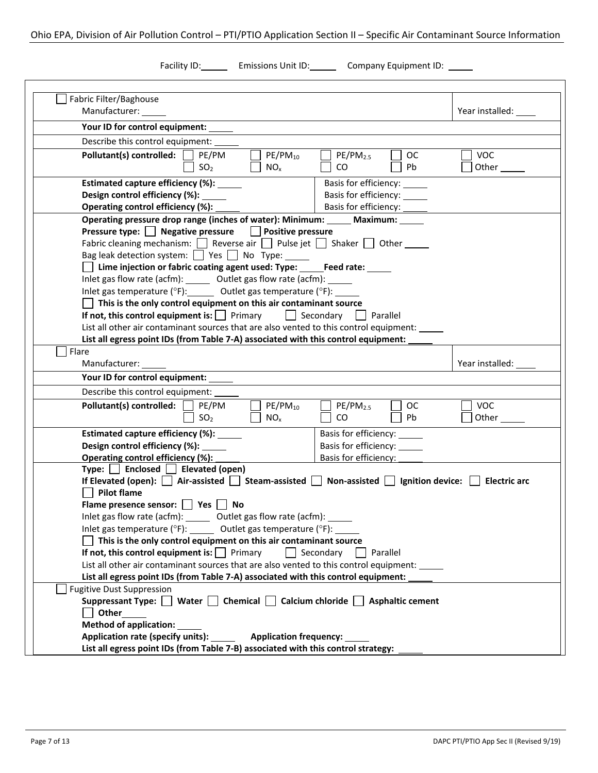## Ohio EPA, Division of Air Pollution Control – PTI/PTIO Application Section II – Specific Air Contaminant Source Information

Facility ID: Emissions Unit ID: Company Equipment ID: \_\_\_\_

| Fabric Filter/Baghouse                                                                                                                                                                                                                                                                       |                                              |                     |
|----------------------------------------------------------------------------------------------------------------------------------------------------------------------------------------------------------------------------------------------------------------------------------------------|----------------------------------------------|---------------------|
| Manufacturer: _____                                                                                                                                                                                                                                                                          |                                              | Year installed:     |
| Your ID for control equipment: _____                                                                                                                                                                                                                                                         |                                              |                     |
| Describe this control equipment:                                                                                                                                                                                                                                                             |                                              |                     |
| Pollutant(s) controlled:<br>$PE/PM_{10}$<br>PE/PM<br>SO <sub>2</sub><br>NO <sub>x</sub>                                                                                                                                                                                                      | $PE/PM_{2.5}$<br><b>OC</b><br>CO<br>Pb.      | <b>VOC</b><br>Other |
| Estimated capture efficiency (%): _____                                                                                                                                                                                                                                                      | Basis for efficiency:                        |                     |
| Design control efficiency (%): ______                                                                                                                                                                                                                                                        | Basis for efficiency: ______                 |                     |
| Operating control efficiency (%):                                                                                                                                                                                                                                                            | Basis for efficiency: ______                 |                     |
| Operating pressure drop range (inches of water): Minimum: Maximum: Maximum:                                                                                                                                                                                                                  |                                              |                     |
| Pressure type: Negative pressure   Positive pressure<br>Fabric cleaning mechanism: $\Box$ Reverse air $\Box$ Pulse jet $\Box$ Shaker $\Box$ Other<br>Bag leak detection system: $\Box$ Yes $\Box$ No Type: _____<br>Lime injection or fabric coating agent used: Type: _____Feed rate: _____ |                                              |                     |
| Inlet gas flow rate (acfm): ______ Outlet gas flow rate (acfm): ______                                                                                                                                                                                                                       |                                              |                     |
| Inlet gas temperature ( ${}^{\circ}$ F): Outlet gas temperature ( ${}^{\circ}$ F):                                                                                                                                                                                                           |                                              |                     |
| This is the only control equipment on this air contaminant source<br>If not, this control equipment is: $\Box$ Primary $\Box$ Secondary                                                                                                                                                      | Parallel                                     |                     |
| List all other air contaminant sources that are also vented to this control equipment: _____                                                                                                                                                                                                 |                                              |                     |
| List all egress point IDs (from Table 7-A) associated with this control equipment: _                                                                                                                                                                                                         |                                              |                     |
| Flare                                                                                                                                                                                                                                                                                        |                                              |                     |
| Manufacturer:                                                                                                                                                                                                                                                                                |                                              | Year installed:     |
| Your ID for control equipment: _                                                                                                                                                                                                                                                             |                                              |                     |
| Describe this control equipment: _____                                                                                                                                                                                                                                                       |                                              |                     |
| Pollutant(s) controlled:<br>PE/PM<br>$PE/PM_{10}$<br>SO <sub>2</sub><br>NO <sub>x</sub>                                                                                                                                                                                                      | $PE/PM_{2.5}$<br><b>OC</b><br>$\rm CO$<br>Pb | VOC<br>Other        |
| Estimated capture efficiency (%): _____                                                                                                                                                                                                                                                      | Basis for efficiency: ______                 |                     |
| Design control efficiency (%): _____                                                                                                                                                                                                                                                         | Basis for efficiency: ______                 |                     |
| Operating control efficiency (%):                                                                                                                                                                                                                                                            | Basis for efficiency:                        |                     |
| Type: $\Box$ Enclosed $\Box$ Elevated (open)                                                                                                                                                                                                                                                 |                                              |                     |
| If Elevated (open): $\Box$ Air-assisted $\Box$ Steam-assisted $\Box$ Non-assisted $\Box$ Ignition device: $\Box$                                                                                                                                                                             |                                              | <b>Electric arc</b> |
| <b>Pilot flame</b>                                                                                                                                                                                                                                                                           |                                              |                     |
| Flame presence sensor: Ves No                                                                                                                                                                                                                                                                |                                              |                     |
| Inlet gas flow rate (acfm): ______ Outlet gas flow rate (acfm):<br>Inlet gas temperature ( $\degree$ F): ______ Outlet gas temperature ( $\degree$ F):                                                                                                                                       |                                              |                     |
| This is the only control equipment on this air contaminant source                                                                                                                                                                                                                            |                                              |                     |
| If not, this control equipment is: $\Box$ Primary                                                                                                                                                                                                                                            | Secondary<br>Parallel                        |                     |
| List all other air contaminant sources that are also vented to this control equipment:                                                                                                                                                                                                       |                                              |                     |
| List all egress point IDs (from Table 7-A) associated with this control equipment:                                                                                                                                                                                                           |                                              |                     |
| <b>Fugitive Dust Suppression</b>                                                                                                                                                                                                                                                             |                                              |                     |
| Suppressant Type: Water Chemical Calcium chloride Asphaltic cement                                                                                                                                                                                                                           |                                              |                     |
| Other                                                                                                                                                                                                                                                                                        |                                              |                     |
| <b>Method of application:</b>                                                                                                                                                                                                                                                                |                                              |                     |
| Application rate (specify units):<br><b>Application frequency:</b>                                                                                                                                                                                                                           |                                              |                     |
| List all egress point IDs (from Table 7-B) associated with this control strategy:                                                                                                                                                                                                            |                                              |                     |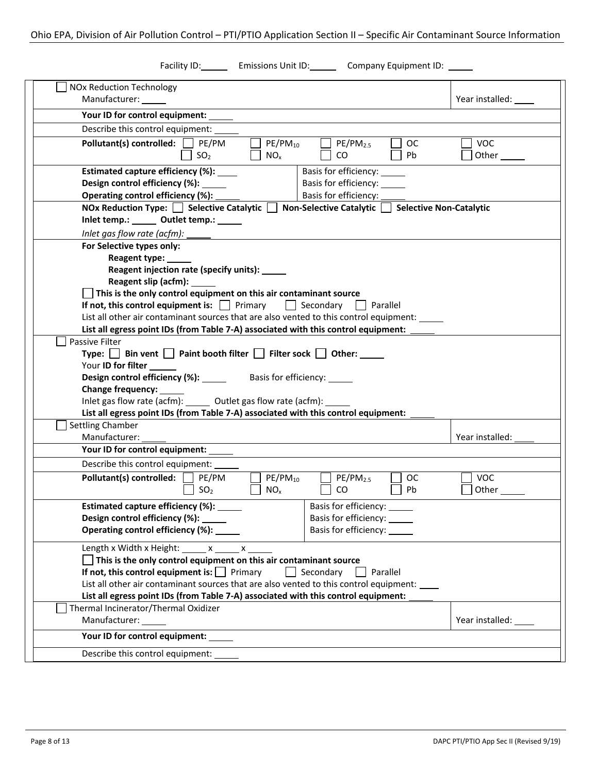| Facility ID: Emissions Unit ID: Company Equipment ID: ____                                                                 |                   |
|----------------------------------------------------------------------------------------------------------------------------|-------------------|
| <b>NOx Reduction Technology</b>                                                                                            |                   |
| Manufacturer: ______                                                                                                       | Year installed: _ |
| Your ID for control equipment:                                                                                             |                   |
| Describe this control equipment:                                                                                           |                   |
| Pollutant(s) controlled: $\Box$ PE/PM<br>$PE/PM_{10}$<br>PE/PM <sub>2.5</sub><br><b>OC</b>                                 | <b>VOC</b>        |
| SO <sub>2</sub><br>NO <sub>x</sub><br>CO.<br>Pb                                                                            | Other             |
|                                                                                                                            |                   |
| Estimated capture efficiency (%): ____<br>Basis for efficiency:<br>Design control efficiency (%):<br>Basis for efficiency: |                   |
| Basis for efficiency:<br>Operating control efficiency (%):                                                                 |                   |
| NOx Reduction Type: $\Box$ Selective Catalytic $\Box$<br>Non-Selective Catalytic   Selective Non-Catalytic                 |                   |
| Inlet temp.: Outlet temp.: 1990                                                                                            |                   |
| Inlet gas flow rate (acfm):                                                                                                |                   |
| For Selective types only:                                                                                                  |                   |
| Reagent type:                                                                                                              |                   |
| Reagent injection rate (specify units):                                                                                    |                   |
| Reagent slip (acfm): ______                                                                                                |                   |
| $\overline{\phantom{a}}$ This is the only control equipment on this air contaminant source                                 |                   |
| If not, this control equipment is: $\vert \vert$ Primary<br>$\Box$ Secondary<br>Parallel                                   |                   |
| List all other air contaminant sources that are also vented to this control equipment: _____                               |                   |
| List all egress point IDs (from Table 7-A) associated with this control equipment:                                         |                   |
| Passive Filter                                                                                                             |                   |
| Type:   Bin vent   Paint booth filter   Filter sock  <br>$\vert$ Other: $\_\_$<br>Your ID for filter                       |                   |
| Design control efficiency (%): ______ Basis for efficiency: ____                                                           |                   |
| Change frequency:                                                                                                          |                   |
| Inlet gas flow rate (acfm): ______ Outlet gas flow rate (acfm): _                                                          |                   |
| List all egress point IDs (from Table 7-A) associated with this control equipment:                                         |                   |
| Settling Chamber                                                                                                           |                   |
| Manufacturer:                                                                                                              | Year installed:   |
| Your ID for control equipment:                                                                                             |                   |
| Describe this control equipment:                                                                                           |                   |
| Pollutant(s) controlled:<br>PE/PM<br>$PE/PM_{10}$<br>PE/PM <sub>2.5</sub><br><b>OC</b>                                     | <b>VOC</b>        |
| SO <sub>2</sub><br>Pb<br>NO <sub>x</sub><br>CO.                                                                            | Other             |
| Estimated capture efficiency (%): _____<br>Basis for efficiency: ______                                                    |                   |
| Design control efficiency (%):<br>Basis for efficiency:                                                                    |                   |
| Operating control efficiency (%):<br>Basis for efficiency:                                                                 |                   |
| Length x Width x Height: $x - x$ x                                                                                         |                   |
| This is the only control equipment on this air contaminant source                                                          |                   |
| If not, this control equipment is: $\Box$ Primary<br>Secondary<br>Parallel                                                 |                   |
| List all other air contaminant sources that are also vented to this control equipment:                                     |                   |
| List all egress point IDs (from Table 7-A) associated with this control equipment:                                         |                   |
| Thermal Incinerator/Thermal Oxidizer                                                                                       |                   |
| Manufacturer:                                                                                                              | Year installed: _ |
| Your ID for control equipment:                                                                                             |                   |
| Describe this control equipment:                                                                                           |                   |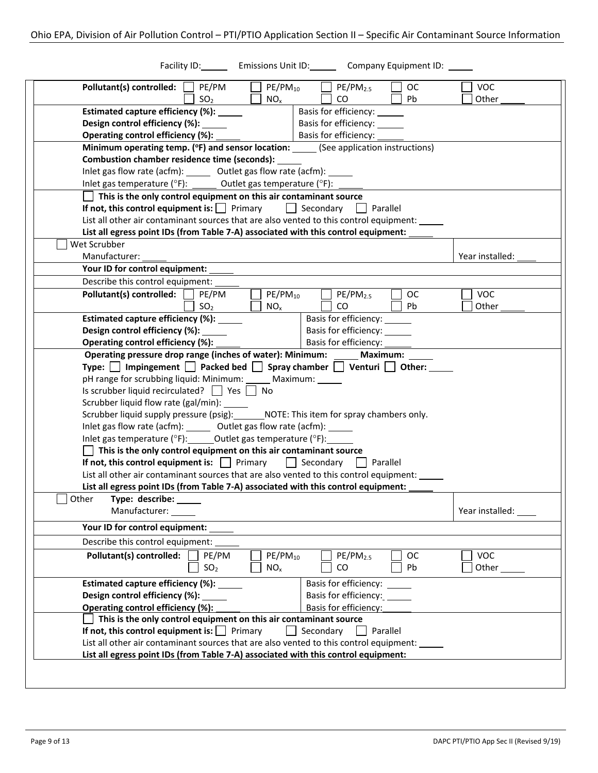| Facility ID: Emissions Unit ID: Company Equipment ID: ___                                                                    |                 |
|------------------------------------------------------------------------------------------------------------------------------|-----------------|
| Pollutant(s) controlled:<br>PE/PM<br>$PE/PM_{10}$<br>PE/PM <sub>2.5</sub><br><b>OC</b>                                       | <b>VOC</b>      |
| CO<br><b>Pb</b><br>SO <sub>2</sub><br>$NO_{x}$                                                                               | Other           |
| Estimated capture efficiency (%): _____<br>Basis for efficiency: ______                                                      |                 |
| Basis for efficiency:<br>Design control efficiency (%):                                                                      |                 |
| Basis for efficiency:<br>Operating control efficiency (%):                                                                   |                 |
| Minimum operating temp. (°F) and sensor location: ______(See application instructions)                                       |                 |
| <b>Combustion chamber residence time (seconds):</b>                                                                          |                 |
| Inlet gas flow rate (acfm): ______ Outlet gas flow rate (acfm):                                                              |                 |
| Inlet gas temperature ( ${}^{\circ}$ F): ______ Outlet gas temperature ( ${}^{\circ}$ F):                                    |                 |
| This is the only control equipment on this air contaminant source                                                            |                 |
| If not, this control equipment is: $\Box$ Primary $\Box$ Secondary $\Box$ Parallel                                           |                 |
| List all other air contaminant sources that are also vented to this control equipment:                                       |                 |
| List all egress point IDs (from Table 7-A) associated with this control equipment:                                           |                 |
| Wet Scrubber                                                                                                                 |                 |
| Manufacturer:                                                                                                                | Year installed: |
| Your ID for control equipment:                                                                                               |                 |
| Describe this control equipment:                                                                                             |                 |
| Pollutant(s) controlled:<br>PE/PM<br>$PE/PM_{10}$<br>$PE/PM_{2.5}$<br>OC.<br>$\blacksquare$                                  | <b>VOC</b>      |
| CO<br>SO <sub>2</sub><br>$NO_{x}$<br>Pb.                                                                                     | Other           |
| Estimated capture efficiency (%): _____<br>Basis for efficiency: ______                                                      |                 |
| Design control efficiency (%):<br>Basis for efficiency: ____                                                                 |                 |
| Operating control efficiency (%):<br>Basis for efficiency:                                                                   |                 |
| Operating pressure drop range (inches of water): Minimum: _____ Maximum: ____                                                |                 |
| Type: $\Box$ Impingement $\Box$ Packed bed $\Box$ Spray chamber $\Box$ Venturi $\Box$ Other:                                 |                 |
| pH range for scrubbing liquid: Minimum: Maximum: 1997                                                                        |                 |
| Is scrubber liquid recirculated? $\Box$ Yes $\Box$ No                                                                        |                 |
| Scrubber liquid flow rate (gal/min): _____                                                                                   |                 |
| Scrubber liquid supply pressure (psig): ________NOTE: This item for spray chambers only.                                     |                 |
| Inlet gas flow rate (acfm): _______ Outlet gas flow rate (acfm): ______                                                      |                 |
| Inlet gas temperature ( ${}^{\circ}$ F): Outlet gas temperature ( ${}^{\circ}$ F):                                           |                 |
| $\Box$ This is the only control equipment on this air contaminant source                                                     |                 |
| If not, this control equipment is: $\Box$ Primary<br>  Secondary<br>  Parallel                                               |                 |
| List all other air contaminant sources that are also vented to this control equipment:                                       |                 |
| List all egress point IDs (from Table 7-A) associated with this control equipment:                                           |                 |
| Other Type: describe:                                                                                                        |                 |
| Manufacturer: _____                                                                                                          | Year installed: |
| Your ID for control equipment:                                                                                               |                 |
| Describe this control equipment:                                                                                             |                 |
| Pollutant(s) controlled:<br>PE/PM<br>$PE/PM_{10}$<br>PE/PM <sub>2.5</sub><br><b>OC</b>                                       | <b>VOC</b>      |
|                                                                                                                              | Other_          |
| SO <sub>2</sub><br>NO <sub>x</sub><br>CO<br>Pb                                                                               |                 |
| Basis for efficiency: ______                                                                                                 |                 |
| Estimated capture efficiency (%): _                                                                                          |                 |
| Design control efficiency (%):<br>Basis for efficiency: ______<br>Operating control efficiency (%):<br>Basis for efficiency: |                 |
| This is the only control equipment on this air contaminant source                                                            |                 |
| If not, this control equipment is: $\Box$ Primary<br>Secondary<br>Parallel                                                   |                 |
| List all other air contaminant sources that are also vented to this control equipment:                                       |                 |
| List all egress point IDs (from Table 7-A) associated with this control equipment:                                           |                 |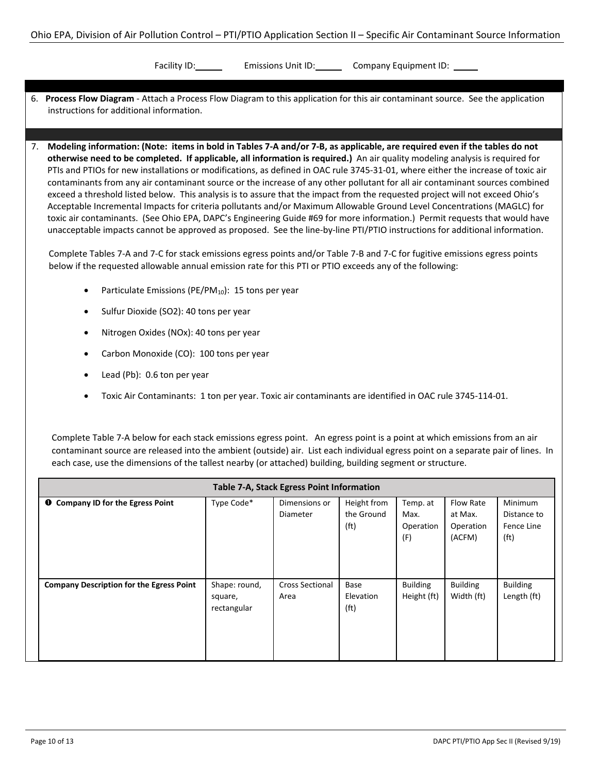Facility ID: Emissions Unit ID: Company Equipment ID:

- 6. **Process Flow Diagram** Attach a Process Flow Diagram to this application for this air contaminant source. See the application instructions for additional information.
- 7. **Modeling information: (Note: items in bold in Tables 7-A and/or 7-B, as applicable, are required even if the tables do not otherwise need to be completed. If applicable, all information is required.)** An air quality modeling analysis is required for PTIs and PTIOs for new installations or modifications, as defined in OAC rule 3745-31-01, where either the increase of toxic air contaminants from any air contaminant source or the increase of any other pollutant for all air contaminant sources combined exceed a threshold listed below. This analysis is to assure that the impact from the requested project will not exceed Ohio's Acceptable Incremental Impacts for criteria pollutants and/or Maximum Allowable Ground Level Concentrations (MAGLC) for toxic air contaminants. (See Ohio EPA, DAPC's Engineering Guide #69 for more information.) Permit requests that would have unacceptable impacts cannot be approved as proposed. See the line-by-line PTI/PTIO instructions for additional information.

Complete Tables 7-A and 7-C for stack emissions egress points and/or Table 7-B and 7-C for fugitive emissions egress points below if the requested allowable annual emission rate for this PTI or PTIO exceeds any of the following:

- Particulate Emissions (PE/PM<sub>10</sub>): 15 tons per year
- Sulfur Dioxide (SO2): 40 tons per year
- Nitrogen Oxides (NOx): 40 tons per year
- Carbon Monoxide (CO): 100 tons per year
- Lead (Pb): 0.6 ton per year
- Toxic Air Contaminants: 1 ton per year. Toxic air contaminants are identified in OAC rule 3745-114-01.

Complete Table 7-A below for each stack emissions egress point. An egress point is a point at which emissions from an air contaminant source are released into the ambient (outside) air. List each individual egress point on a separate pair of lines. In each case, use the dimensions of the tallest nearby (or attached) building, building segment or structure.

| Table 7-A, Stack Egress Point Information       |                                         |                                |                                                |                                      |                                             |                                                                  |  |
|-------------------------------------------------|-----------------------------------------|--------------------------------|------------------------------------------------|--------------------------------------|---------------------------------------------|------------------------------------------------------------------|--|
| <b>O</b> Company ID for the Egress Point        | Type Code*                              | Dimensions or<br>Diameter      | Height from<br>the Ground<br>(f <sub>t</sub> ) | Temp. at<br>Max.<br>Operation<br>(F) | Flow Rate<br>at Max.<br>Operation<br>(ACFM) | <b>Minimum</b><br>Distance to<br>Fence Line<br>(f <sup>t</sup> ) |  |
| <b>Company Description for the Egress Point</b> | Shape: round,<br>square,<br>rectangular | <b>Cross Sectional</b><br>Area | Base<br>Elevation<br>(f <sub>t</sub> )         | <b>Building</b><br>Height (ft)       | <b>Building</b><br>Width (ft)               | <b>Building</b><br>Length (ft)                                   |  |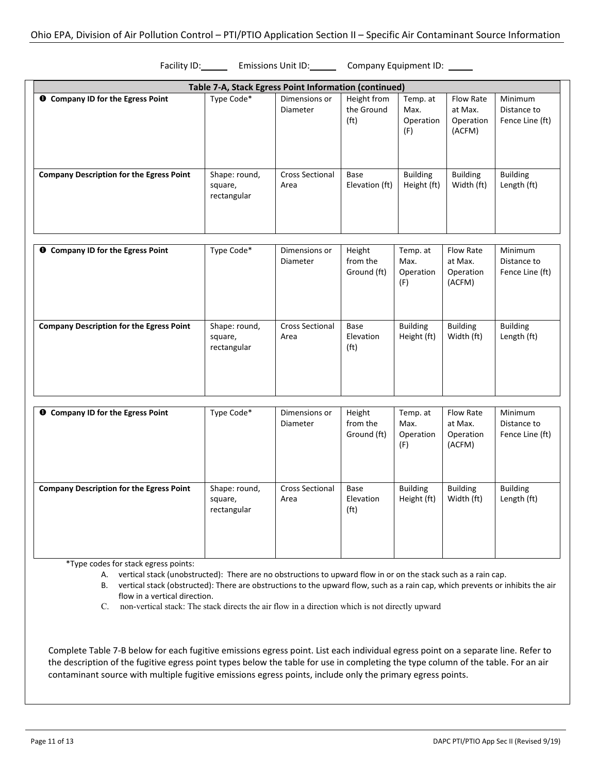Facility ID: Emissions Unit ID: Company Equipment ID:

| Table 7-A, Stack Egress Point Information (continued) |                                         |                                  |                                                |                                      |                                                    |                                           |  |  |
|-------------------------------------------------------|-----------------------------------------|----------------------------------|------------------------------------------------|--------------------------------------|----------------------------------------------------|-------------------------------------------|--|--|
| <b>O</b> Company ID for the Egress Point              | Type Code*                              | Dimensions or<br><b>Diameter</b> | Height from<br>the Ground<br>(f <sub>t</sub> ) | Temp. at<br>Max.<br>Operation<br>(F) | Flow Rate<br>at Max.<br>Operation<br>(ACFM)        | Minimum<br>Distance to<br>Fence Line (ft) |  |  |
| <b>Company Description for the Egress Point</b>       | Shape: round,<br>square,<br>rectangular | <b>Cross Sectional</b><br>Area   | Base<br>Elevation (ft)                         | <b>Building</b><br>Height (ft)       | <b>Building</b><br>Width (ft)                      | <b>Building</b><br>Length (ft)            |  |  |
| <b>O</b> Company ID for the Egress Point              | Type Code*                              | Dimensions or<br>Diameter        | Height<br>from the<br>Ground (ft)              | Temp. at<br>Max.<br>Operation<br>(F) | <b>Flow Rate</b><br>at Max.<br>Operation<br>(ACFM) | Minimum<br>Distance to<br>Fence Line (ft) |  |  |
| <b>Company Description for the Egress Point</b>       | Shape: round,<br>square,<br>rectangular | <b>Cross Sectional</b><br>Area   | Base<br>Elevation<br>(f <sup>t</sup> )         | <b>Building</b><br>Height (ft)       | <b>Building</b><br>Width (ft)                      | <b>Building</b><br>Length (ft)            |  |  |
| <b>O</b> Company ID for the Egress Point              | Type Code*                              | Dimensions or<br><b>Diameter</b> | Height<br>from the<br>Ground (ft)              | Temp. at<br>Max.<br>Operation<br>(F) | Flow Rate<br>at Max.<br>Operation<br>(ACFM)        | Minimum<br>Distance to<br>Fence Line (ft) |  |  |
| <b>Company Description for the Egress Point</b>       | Shape: round,<br>square,<br>rectangular | <b>Cross Sectional</b><br>Area   | Base<br>Elevation<br>(f <sup>t</sup> )         | <b>Building</b><br>Height (ft)       | <b>Building</b><br>Width (ft)                      | <b>Building</b><br>Length (ft)            |  |  |

\*Type codes for stack egress points:

A. vertical stack (unobstructed): There are no obstructions to upward flow in or on the stack such as a rain cap.

B. vertical stack (obstructed): There are obstructions to the upward flow, such as a rain cap, which prevents or inhibits the air flow in a vertical direction.

C. non-vertical stack: The stack directs the air flow in a direction which is not directly upward

Complete Table 7-B below for each fugitive emissions egress point. List each individual egress point on a separate line. Refer to the description of the fugitive egress point types below the table for use in completing the type column of the table. For an air contaminant source with multiple fugitive emissions egress points, include only the primary egress points.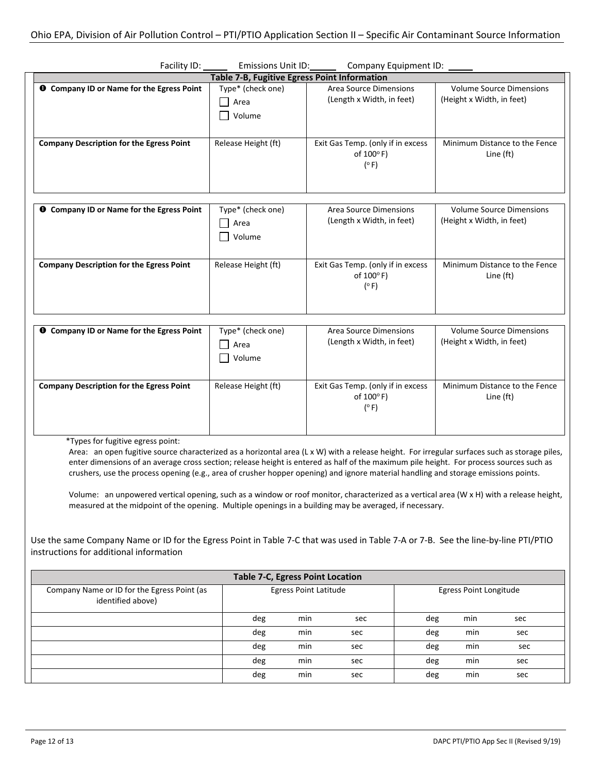| Facility ID:                                           | Emissions Unit ID:                           | Company Equipment ID:                                          |                                                              |
|--------------------------------------------------------|----------------------------------------------|----------------------------------------------------------------|--------------------------------------------------------------|
|                                                        | Table 7-B, Fugitive Egress Point Information |                                                                |                                                              |
| <b>O</b> Company ID or Name for the Egress Point       | Type* (check one)<br>Area<br>Volume          | <b>Area Source Dimensions</b><br>(Length x Width, in feet)     | <b>Volume Source Dimensions</b><br>(Height x Width, in feet) |
| <b>Company Description for the Egress Point</b>        | Release Height (ft)                          | Exit Gas Temp. (only if in excess<br>of 100°F)<br>(°F)         | Minimum Distance to the Fence<br>Line (ft)                   |
| Company ID or Name for the Egress Point<br>$\mathbf o$ | Type* (check one)<br>Area<br>Volume          | <b>Area Source Dimensions</b><br>(Length x Width, in feet)     | <b>Volume Source Dimensions</b><br>(Height x Width, in feet) |
| <b>Company Description for the Egress Point</b>        | Release Height (ft)                          | Exit Gas Temp. (only if in excess<br>of 100°F)<br>$(^\circ$ F) | Minimum Distance to the Fence<br>Line (ft)                   |
| Company ID or Name for the Egress Point<br>$\bullet$   | Type* (check one)<br>Area<br>Volume          | <b>Area Source Dimensions</b><br>(Length x Width, in feet)     | <b>Volume Source Dimensions</b><br>(Height x Width, in feet) |
| <b>Company Description for the Egress Point</b>        | Release Height (ft)                          | Exit Gas Temp. (only if in excess<br>of 100°F)<br>(°F)         | Minimum Distance to the Fence<br>Line (ft)                   |

\*Types for fugitive egress point:

Area: an open fugitive source characterized as a horizontal area (L x W) with a release height. For irregular surfaces such as storage piles, enter dimensions of an average cross section; release height is entered as half of the maximum pile height. For process sources such as crushers, use the process opening (e.g., area of crusher hopper opening) and ignore material handling and storage emissions points.

Volume: an unpowered vertical opening, such as a window or roof monitor, characterized as a vertical area (W x H) with a release height, measured at the midpoint of the opening. Multiple openings in a building may be averaged, if necessary.

Use the same Company Name or ID for the Egress Point in Table 7-C that was used in Table 7-A or 7-B. See the line-by-line PTI/PTIO instructions for additional information

| <b>Table 7-C, Egress Point Location</b>                          |                              |     |                        |     |     |     |  |  |
|------------------------------------------------------------------|------------------------------|-----|------------------------|-----|-----|-----|--|--|
| Company Name or ID for the Egress Point (as<br>identified above) | <b>Egress Point Latitude</b> |     | Egress Point Longitude |     |     |     |  |  |
|                                                                  | deg                          | min | sec                    | deg | min | sec |  |  |
|                                                                  | deg                          | min | sec                    | deg | min | sec |  |  |
|                                                                  | deg                          | min | sec                    | deg | min | sec |  |  |
|                                                                  | deg                          | min | sec                    | deg | min | sec |  |  |
|                                                                  | deg                          | min | sec                    | deg | min | sec |  |  |